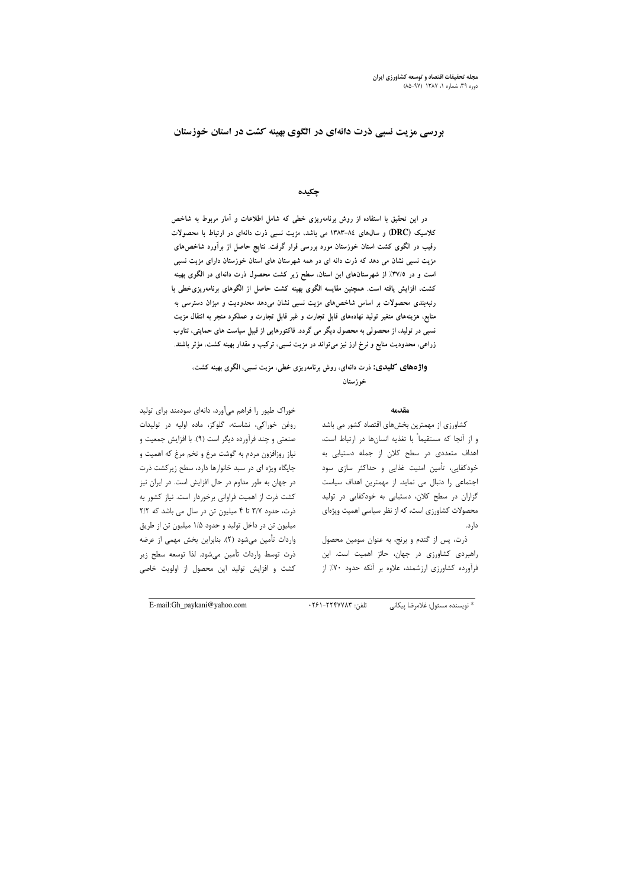## بررسی مزیت نسبی ذرت دانهای در الگوی بهینه کشت در استان خوزستان

## چکیده

در این تحقیق با استفاده از روش برنامهریزی خطی که شامل اطلاعات و آمار مربوط به شاخص کلاسیک (DRC) و سال های ۸٤-۱۳۸۳ می باشد، مزیت نسبی ذرت دانهای در ارتباط با محصولات رقیب در الگوی کشت استان خوزستان مورد بررسی قرار گرفت. نتایج حاصل از برآورد شاخصهای مزیت نسبی نشان می دهد که ذرت دانه ای در همه شهرستان های استان خوزستان دارای مزیت نسبی است و در ۳۷/۵٪ از شهرستانهای این استان، سطح زیر کشت محصول ذرت دانهای در الگوی بهینه کشت، افزایش یافته است. همچنین مقایسه الگوی بهینه کشت حاصل از الگوهای برنامهریزی خطی با رتبهبندی محصولات بر اساس شاخصهای مزیت نسبی نشان میدهد محدودیت و میزان دسترسی به منابع، هزینههای متغیر تولید نهادههای قابل تجارت و غیر قابل تجارت و عملکرد منجر به انتقال مزیت نسبی در تولید، از محصولی به محصول دیگر می گردد. فاکتورهایی از قبیل سیاست های حمایتی، تناوب زراعی، محدودیت منابع و نرخ ارز نیز میïتواند در مزیت نسبی، ترکیب و مقدار بهینه کشت، مؤثر باشند.

# واژههای کلیدی: ذرت دانهای، روش برنامهریزی خطی، مزیت نسبی، الگوی بهینه کشت، خوزستان

#### مقدمه

کشاورزی از مهمترین بخشهای اقتصاد کشور می باشد و از آنجا که مستقیماً با تغذیه انسانها در ارتباط است، اهداف متعددی در سطح کلان از جمله دستیابی به خودکفایی، تأمین امنیت غذایی و حداکثر سازی سود اجتماعی را دنبال می نماید. از مهمترین اهداف سیاست گزاران در سطح کلان، دستیابی به خودکفایی در تولید محصولات کشاورزی است، که از نظر سیاسی اهمیت ویژهای دار د.

ذرت، پس از گندم و برنج، به عنوان سومین محصول راهبردی کشاورزی در جهان، حائز اهمیت است. این فرآورده کشاورزی ارزشمند، علاوه بر آنکه حدود ۷۰٪ از

خوراک طیور را فراهم میآورد، دانهای سودمند برای تولید روغن خوراکی، نشاسته، گلوکز، ماده اولیه در تولیدات صنعتی و چند فرآورده دیگر است (۹). با افزایش جمعیت و نیاز روزافزون مردم به گوشت مرغ و تخم مرغ که اهمیت و جایگاه ویژه ای در سبد خانوارها دارد، سطح زیرکشت ذرت در جهان به طور مداوم در حال افزایش است. در ایران نیز کشت ذرت از اهمیت فراوانی برخوردار است. نیاز کشور به ذرت، حدود ٣/٧ تا ۴ میلیون تن در سال می باشد که ٢/٢ میلیون تن در داخل تولید و حدود ۱/۵ میلیون تن از طریق واردات تأمين ميشود (٢). بنابراين بخش مهمى از عرضه َ ذرت توسط واردات تأمين مي شود. لذا توسعه سطح زير کشت و افزایش تولید این محصول از اولویت خاصی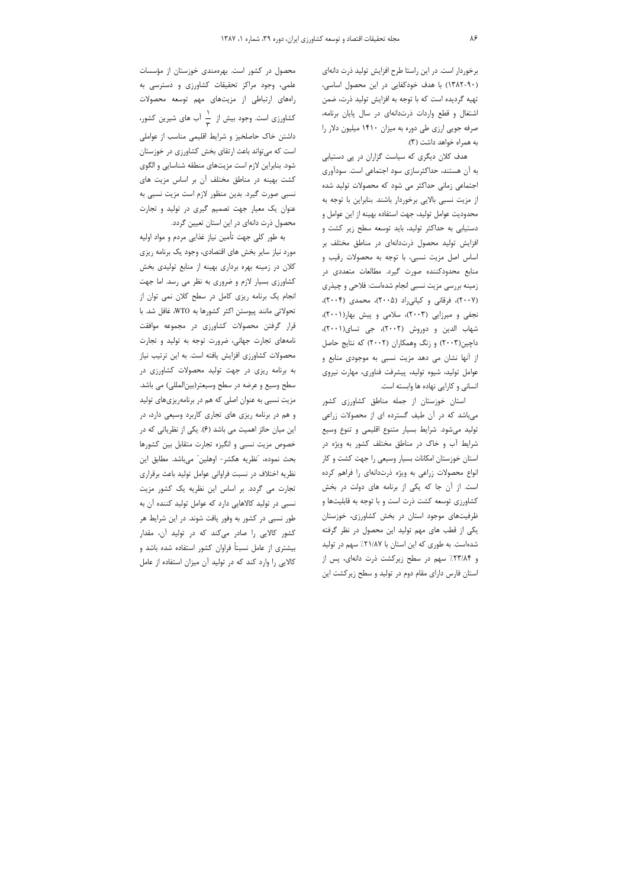برخوردار است. در این راستا طرح افزایش تولید ذرت دانهای (۹۰-۱۳۸۲) با هدف خودکفایی در این محصول اساسی، تهیه گردیده است که با توجه به افزایش تولید ذرت، ضمن اشتغال و قطع واردات ذرتدانهای در سال پایان برنامه، صرفه جویی ارزی طی دوره به میزان ۱۴۱۰ میلیون دلار را به همراه خواهد داشت (۳).

هدف کلان دیگری که سیاست گزاران در پی دستیابی به آن هستند، حداکثرسازی سود اجتماعی است. سودآوری اجتماعی زمانی حداکثر می شود که محصولات تولید شده از مزیت نسبی بالایی برخوردار باشند. بنابراین با توجه به محدوديت عوامل توليد، جهت استفاده بهينه از اين عوامل و دستیابی به حداکثر تولید، باید توسعه سطح زیر کشت و افزایش تولید محصول ذرتدانهای در مناطق مختلف بر اساس اصل مزيت نسبي، با توجه به محصولات رقيب و منابع محدودکننده صورت گیرد. مطالعات متعددی در زمینه بررسی مزیت نسبی انجام شدهاست: فلاحی و چیذری (۲۰۰۷)، فرقانی و کیانی راد (۲۰۰۵)، محمدی (۲۰۰۴)، نجفی و میرزایی (۲۰۰۳)، سلامی و پیش بهار(۲۰۰۱)، شهاب الدين و دوروش (٢٠٠٢)، جي تساي(٢٠٠١)، داچین(۲۰۰۳) و زنگ وهمکاران (۲۰۰۲) که نتایج حاصل از آنها نشان می دهد مزیت نسبی به موجودی منابع و عوامل تولید، شیوه تولید، پیشرفت فناوری، مهارت نیروی انسانی و کارایی نهاده ها وابسته است.

استان خوزستان از جمله مناطق کشاورزی کشور می باشد که در آن طیف گسترده ای از محصولات زراعی تولید می شود. شرایط بسیار متنوع اقلیمی و تنوع وسیع شرایط آب و خاک در مناطق مختلف کشور به ویژه در استان خوزستان امکانات بسیار وسیعی را جهت کشت و کار انواع محصولات زراعی به ویژه ذرتدانهای را فراهم کرده است. از آن جا که یکی از برنامه های دولت در بخش کشاورزی توسعه کشت ذرت است و با توجه به قابلیتها و ظرفیتهای موجود استان در بخش کشاورزی، خوزستان یکی از قطب های مهم تولید این محصول در نظر گرفته شدهاست. به طوری که این استان با ۲۱/۸۷٪ سهم در تولید و ۲۳/۸۴٪ سهم در سطح زیرکشت ذرت دانهای، پس از استان فارس دارای مقام دوم در تولید و سطح زیرکشت این

محصول در کشور است. بهرهمندی خوزستان از مؤسسات علمی، وجود مراکز تحقیقات کشاورزی و دسترسی به راههای ارتباطی از مزیتهای مهم توسعه محصولات کشاورزی است. وجود بیش از ہے آب های شیرین کشور، داشتن خاک حاصلخیز و شرایط اقلیمی مناسب از عواملی است که می تواند باعث ارتقای بخش کشاورزی در خوزستان شود. بنابراین لازم است مزیتهای منطقه شناسایی و الگوی کشت بهینه در مناطق مختلف آن بر اساس مزیت های نسبي صورت گيرد. بدين منظور لازم است مزيت نسبي به عنوان یک معیار جهت تصمیم گیری در تولید و تجارت محصول ذرت دانهای در این استان تعیین گردد.

به طور کلی جهت تأمین نیاز غذایی مردم و مواد اولیه مورد نیاز سایر بخش های اقتصادی، وجود یک برنامه ریزی کلان در زمینه بهره برداری بهینه از منابع تولیدی بخش کشاورزی بسیار لازم و ضروری به نظر می رسد. اما جهت انجام یک برنامه ریزی کامل در سطح کلان نمی توان از تحولاتي مانند پيوستن اكثر كشورها به WTO، غافل شد. با قرار گرفتن محصولات كشاورزي در مجموعه موافقت نامههای تجارت جهانی، ضرورت توجه به تولید و تجارت محصولات کشاورزی افزایش یافته است. به این ترتیب نیاز به برنامه ریزی در جهت تولید محصولات کشاورزی در سطح وسیع و عرضه در سطح وسیعتر(بین|لمللی) می باشد. مزیت نسبی به عنوان اصلی که هم در برنامهریزیهای تولید و هم در برنامه ریزی های تجاری کاربرد وسیعی دارد، در این میان حائز اهمیت می باشد (۶). یکی از نظریاتی که در خصوص مزیت نسبی و انگیزه تجارت متقابل بین کشورها بحث نموده، "نظريه هكشر- اوهلين" مىباشد. مطابق اين نظریه اختلاف در نسبت فراوانی عوامل تولید باعث برقراری تجارت می گردد. بر اساس این نظریه یک کشور مزیت نسبی در تولید کالاهایی دارد که عوامل تولید کننده آن به طور نسبی در کشور به وفور یافت شوند. در این شرایط هر کشور کالایی را صادر میکند که در تولید آن، مقدار بیشتری از عامل نسبتاً فراوان کشور استفاده شده باشد و کالایی را وارد کند که در تولید آن میزان استفاده از عامل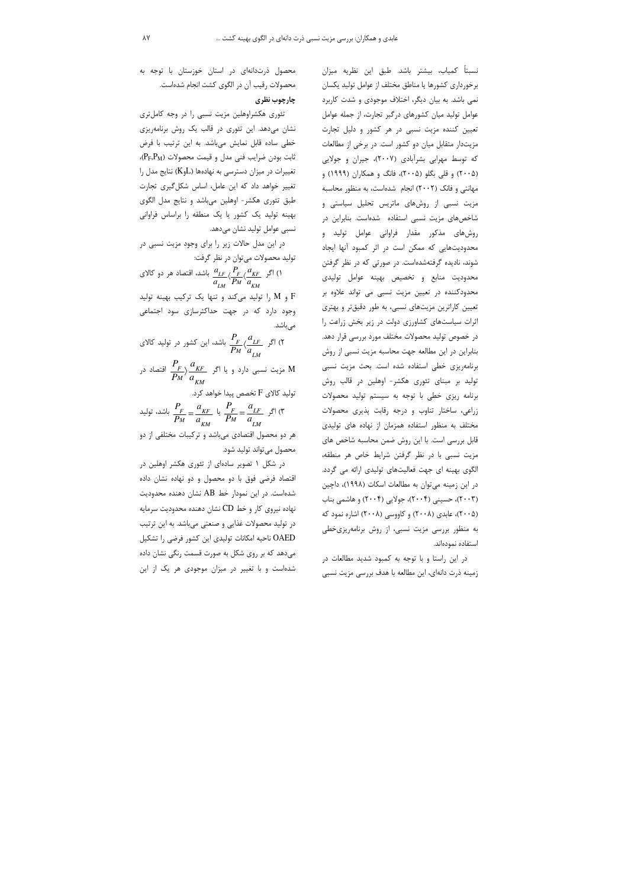نسبتاً کمیاب، بیشتر باشد. طبق این نظریه میزان برخورداری کشورها یا مناطق مختلف از عوامل تولید یکسان نمی باشد. به بیان دیگر، اختلاف موجودی و شدت کاربرد عوامل تولید میان کشورهای درگیر تجارت، از جمله عوامل تعیین کننده مزیت نسبی در هر کشور و دلیل تجارت مزیتدار متقابل میان دو کشور است. در برخی از مطالعات که توسط مهرابی بشرآبادی (۲۰۰۷)، جیران و جولایی (۲۰۰۵) و قلی بگلو (۲۰۰۵)، فانگ و همکاران (۱۹۹۹) و مهانتی و فانک (۲۰۰۲) انجام شدهاست، به منظور محاسبه مزیت نسبی از روشهای ماتریس تحلیل سیاستی و شاخصهای مزیت نسبی استفاده شدهاست. بنابراین در روشهای مذکور مقدار فراوانی عوامل تولید و محدودیتهایی که ممکن است در اثر کمبود آنها ایجاد شوند، نادیده گرفتهشدهاست. در صورتی که در نظر گرفتن محدودیت منابع و تخصیص بهینه عوامل تولیدی محدودکننده در تعیین مزیت نسبی می تواند علاوه بر تعیین کاراترین مزیتهای نسبی، به طور دقیقتر و بهتری اثرات سیاستهای کشاورزی دولت در زیر بخش زراعت را در خصوص تولید محصولات مختلف مورد بررسی قرار دهد. بنابراین در این مطالعه جهت محاسبه مزیت نسبی از روش برنامهریزی خطی استفاده شده است. بحث مزیت نسبی تولید بر مبنای تئوری هکشر- اوهلین در قالب روش برنامه ریزی خطی با توجه به سیستم تولید محصولات زراعی، ساختار تناوب و درجه رقابت پذیری محصولات مختلف به منظور استفاده همزمان از نهاده های تولیدی قابل بررسی است. با این روش ضمن محاسبه شاخص های مزیت نسبی با در نظر گرفتن شرایط خاص هر منطقه، الگوی بهینه ای جهت فعالیتهای تولیدی ارائه می گردد. در این زمینه می توان به مطالعات اسکات (۱۹۹۸)، داچین (۲۰۰۳)، حسینی (۲۰۰۴)، جولایی (۲۰۰۴) و هاشمی بناب (۲۰۰۵)، عابدی (۲۰۰۸) و کاووسی (۲۰۰۸) اشاره نمود که به منظور بررسی مزیت نسبی، از روش برنامهریزی خطی استفاده نمودهاند.

در این راستا و با توجه به کمبود شدید مطالعات در زمینه ذرت دانهای، این مطالعه با هدف بررسی مزیت نسبی

محصول ذرتدانهای در استان خوزستان با توجه به محصولات رقیب آن در الگوی کشت انجام شدهاست.

## چارچوب نظری

تئوری هکشراوهلین مزیت نسبی را در وجه کامل تری نشان میدهد. این تئوری در قالب یک روش برنامهریزی خطی ساده قابل نمایش میباشد. به این ترتیب با فرض  $(P_F, P_M)$  ثابت بودن ضرایب فنی مدل و قیمت محصولات تغییرات در میزان دسترسی به نهادهها (KوK) نتایج مدل را تغییر خواهد داد که این عامل، اساس شکل گیری تجارت طبق تئوری هکشر- اوهلین میباشد و نتایج مدل الگوی بهینه تولید یک کشور یا یک منطقه را براساس فراوانی نسبی عوامل تولید نشان میدهد.

در این مدل حالات زیر را برای وجود مزیت نسبی در تولید محصولات می توان در نظر گرفت:

ا) اگر 
$$
\frac{a_{LF}}{a_{LM}} \langle \frac{P_F}{P_M} \langle \frac{a_{KF}}{a_{KM}} \rangle
$$
 (ا تولید میکند و تنها یک ترکیب بهینه تولید $F$  و M را تولید میکند و تنها یک ترکیب بهینه تولید وجود دارد که در جهت حداکثرسازی سود اجتماعی

7) اگر 
$$
\frac{P_F}{P_M} \langle \frac{a_{LF}}{a_{LM}} \rangle
$$
 (۲) اگر 
$$
\frac{P_F}{P_M} \langle \frac{a_{LF}}{a_{LM}} \rangle
$$
ه تصاد در و یا اگر 
$$
\frac{P_F}{P_M} \rangle \frac{a_{KF}}{a_{KM}}
$$

تولید کالای F تخصص پیدا خواهد کرد.

اگر 
$$
\frac{P_F}{P_M} = \frac{a_{KF}}{a_{KM}}
$$
 لی $\frac{P_F}{P_M} = \frac{a_{LF}}{a_{LM}}$  (1)

هر دو محصول اقتصادی میباشد و ترکیبات مختلفی از دو محصول ميتواند توليد شود.

در شکل ۱ تصویر سادهای از تئوری هکشر اوهلین در اقتصاد فرضی فوق با دو محصول و دو نهاده نشان داده شدهاست. در این نمودار خط AB نشان دهنده محدودیت نهاده نیروی کار و خط CD نشان دهنده محدودیت سرمایه در تولید محصولات غذایی و صنعتی میباشد. به این ترتیب OAED ناحیه امکانات تولیدی این کشور فرضی را تشکیل میدهد که بر روی شکل به صورت قسمت رنگی نشان داده شدهاست و با تغییر در میزان موجودی هر یک از این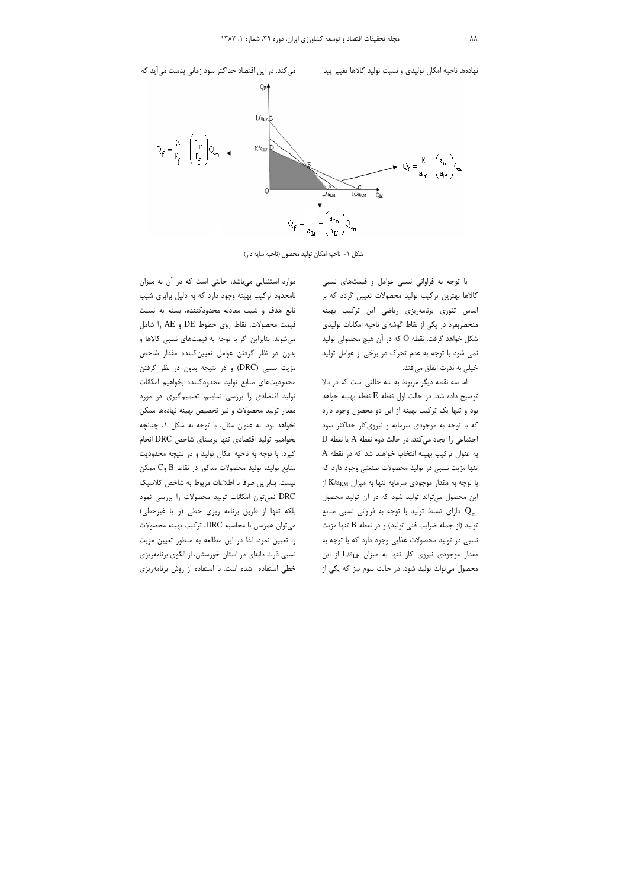

شكل ١- ناحيه امكان توليد محصول (ناحيه سايه دار)

با توجه به فراوانی نسبی عوامل و قیمتهای نسبی کالاها بهترین ترکیب تولید محصولات تعیین گردد که بر اساس تئوري برنامهريزي رياضي اين تركيب بهينه منحصربفرد در یکی از نقاط گوشهای ناحیه امکانات تولیدی شکل خواهد گرفت. نقطه O که در آن هیچ محصولی تولید نمي شود با توجه به عدم تحرک در برخي از عوامل توليد خیلی به ندرت اتفاق میافتد.

اما سه نقطه دیگر مربوط به سه حالتی است که در بالا توضیح داده شد. در حالت اول نقطه  $\rm E$  نقطه بهینه خواهد بود و تنها یک ترکیب بهینه از این دو محصول وجود دارد که با توجه به موجودی سرمایه و نیرویکار حداکثر سود  $\rm\,D$  اجتماعی را ایجاد می $\rm\,X$ ند. در حالت دوم نقطه  $\rm\,A$  یا نقطه به عنوان تركيب بهينه انتخاب خواهند شد كه در نقطه A تنها مزیت نسبی در تولید محصولات صنعتی وجود دارد که با توجه به مقدار موجودی سرمایه تنها به میزان K/akm از این محصول میتواند تولید شود که در آن تولید محصول دارای تسلط تولید با توجه به فراوانی نسبی منابع  $\,{\bf Q}_\mathrm{m}\,$ تولید (از جمله ضرایب فنی تولید) و در نقطه B تنها مزیت نسبی در تولید محصولات غذایی وجود دارد که با توجه به مقدار موجودی نیروی کار تنها به میزان L/aLF از این محصول می تواند تولید شود. در حالت سوم نیز که یکی از

موارد استثنایی میباشد، حالتی است که در آن به میزان نامحدود ترکیب بهینه وجود دارد که به دلیل برابری شیب تابع هدف و شیب معادله محدودکننده، بسته به نسبت قیمت محصولات، نقاط روی خطوط DE و AE را شامل می شوند. بنابراین اگر با توجه به قیمتهای نسبی کالاها و بدون در نظر گرفتن عوامل تعيين كننده مقدار شاخص مزیت نسبی (DRC) و در نتیجه بدون در نظر گرفتن محدوديتهاى منابع توليد محدودكننده بخواهيم امكانات تولید اقتصادی را بررسی نماییم، تصمیم گیری در مورد مقدار تولید محصولات و نیز تخصیص بهینه نهادهها ممکن نخواهد بود. به عنوان مثال، با توجه به شكل ١، چنانچه بخواهيم توليد اقتصادي تنها برمبناي شاخص DRC انجام گیرد، با توجه به ناحیه امکان تولید و در نتیجه محدودیت منابع تولید، تولید محصولات مذکور در نقاط  $\, {\bf B} \,$  و $\, {\bf C} \,$  ممکن نیست. بنابراین صرفا با اطلاعات مربوط به شاخص کلاسیک DRC نمیتوان امکانات تولید محصولات را بررسی نمود بلكه تنها از طريق برنامه ريزي خطى (و يا غيرخطى) می توان همزمان با محاسبه DRC، ترکیب بهینه محصولات را تعیین نمود. لذا در این مطالعه به منظور تعیین مزیت نسبی ذرت دانهای در استان خوزستان، از الگوی برنامهریزی خطی استفاده شده است. با استفاده از روش برنامهریزی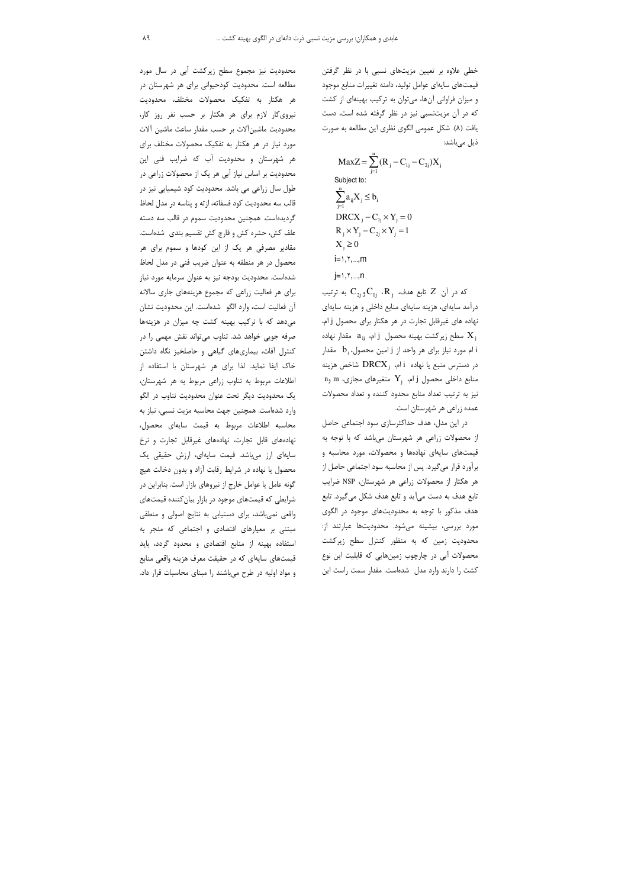خطی علاوه بر تعیین مزیتهای نسبی با در نظر گرفتن قیمتهای سایهای عوامل تولید، دامنه تغییرات منابع موجود و میزان فراوانی آنها، میتوان به ترکیب بهینهای از کشت که در آن مزیتنسبی نیز در نظر گرفته شده است، دست یافت (۸). شکل عمومی الگوی نظری این مطالعه به صورت ذیل میباشد:

$$
MaxZ = \sum_{j=1}^{n} (R_j - C_{1j} - C_{2j})X_j
$$
  
Subject to:  

$$
\sum_{j=1}^{n} a_{ij}X_j \le b_i
$$
  
DRCX<sub>j</sub> - C<sub>1j</sub> × Y<sub>j</sub> = 0  
R<sub>j</sub> × Y<sub>j</sub> - C<sub>2j</sub> × Y<sub>j</sub> = 1  
X<sub>j</sub> ≥ 0  
i=1, Y,...,m  
j=1, Y,...,n

که در آن Z تابع هدف، R<sub>i</sub>، R<sub>i</sub>، که در آن Z که درآمد سايهاي، هزينه سايهاي منابع داخلي و هزينه سايهاي نهاده های غیرقابل تجارت در هر هکتار برای محصول j ام، سطح زیرکشت بهینه محصول  $\mathrm{i}_\mathrm{j}$  ام،  $\mathrm{a}_\mathrm{ij}$  مقدار نهاده  $\mathrm{X}^{}_\mathrm{j}$ ام مورد نیاز برای هر واحد از j امین محصول، b مقدار i در دسترس منبع یا نهاده  $\text{i}$  ام،  $\text{DRCX}_i$  شاخص هزینه n سنابع داخلی محصول j ام،  $\rm{Y_{_j}}$  متغیرهای مجازی، نیز به ترتیب تعداد منابع محدود کننده و تعداد محصولات عمده زراعی هر شهرستان است.

در این مدل، هدف حداکثرسازی سود اجتماعی حاصل از محصولات زراعی هر شهرستان میباشد که با توجه به قیمتهای سایهای نهادهها و محصولات، مورد محاسبه و برآورد قرار میگیرد. پس از محاسبه سود اجتماعی حاصل از هر هکتار از محصولات زراعی هر شهرستان، NSP ضرایب تابع هدف به دست می آید و تابع هدف شکل می گیرد. تابع هدف مذکور با توجه به محدودیتهای موجود در الگوی مورد بررسی، بیشینه میشود. محدودیتها عبارتند از: محدودیت زمین که به منظور کنترل سطح زیرکشت محصولات آبی در چارچوب زمینهایی که قابلیت این نوع کشت را دارند وارد مدل۔شدهاست. مقدار سمت راست این

محدودیت نیز مجموع سطح زیرکشت آبی در سال مورد مطالعه است. محدودیت کودحیوانی برای هر شهرستان در هر هكتار به تفكيك محصولات مختلف، محدوديت نیروی کار لازم برای هر هکتار بر حسب نفر روز کار، محدوديت ماشين آلات بر حسب مقدار ساعت ماشين آلات مورد نیاز در هر هکتار به تفکیک محصولات مختلف برای هر شهرستان و محدودیت آب که ضرایب فنی این محدودیت بر اساس نیاز آبی هر یک از محصولات زراعی در طول سال زراعی می باشد. محدودیت کود شیمیایی نیز در قالب سه محدودیت کود فسفاته، ازته و پتاسه در مدل لحاظ گردیدهاست. همچنین محدودیت سموم در قالب سه دسته علف کش، حشره کش و قارچ کش تقسیم بندی شدهاست. مقادیر مصرفی هر یک از این کودها و سموم برای هر محصول در هر منطقه به عنوان ضریب فنی در مدل لحاظ شدهاست. محدودیت بودجه نیز به عنوان سرمایه مورد نیاز برای هر فعالیت زراعی که مجموع هزینههای جاری سالانه آن فعالیت است، وارد الگو شدهاست. این محدودیت نشان می دهد که با ترکیب بهینه کشت چه میزان در هزینهها صرفه جويي خواهد شد. تناوب مي تواند نقش مهمي را در کنترل آفات، بیماریهای گیاهی و حاصلخیز نگاه داشتن خاک ایفا نماید. لذا برای هر شهرستان با استفاده از اطلاعات مربوط به تناوب زراعى مربوط به هر شهرستان، یک محدودیت دیگر تحت عنوان محدودیت تناوب در الگو وارد شدهاست. همچنین جهت محاسبه مزیت نسبی، نیاز به محاسبه اطلاعات مربوط به قيمت سايهاى محصول، نهادههای قابل تجارت، نهادههای غیرقابل تجارت و نرخ سایهای ارز میباشد. قیمت سایهای، ارزش حقیقی یک محصول یا نهاده در شرایط رقابت آزاد و بدون دخالت هیچ گونه عامل یا عوامل خارج از نیروهای بازار است. بنابراین در شرایطی که قیمتهای موجود در بازار بیان کننده قیمتهای واقعی نمیباشد، برای دستیابی به نتایج اصولی و منطقی مبتنی بر معیارهای اقتصادی و اجتماعی که منجر به استفاده بهينه از منابع اقتصادى و محدود گردد، بايد قیمتهای سایهای که در حقیقت معرف هزینه واقعی منابع و مواد اولیه در طرح میباشند را مبنای محاسبات قرار داد.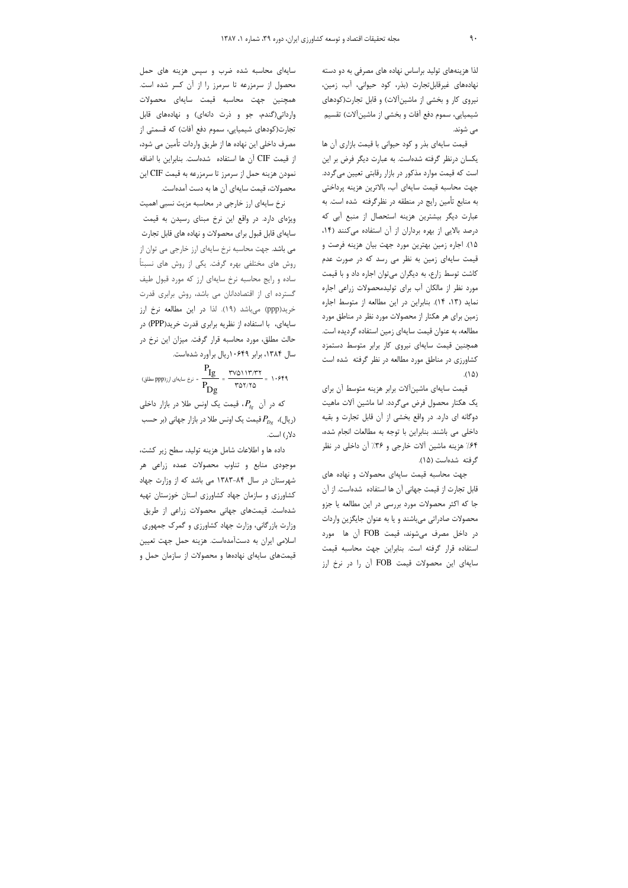لذا هزینههای تولید براساس نهاده های مصرفی به دو دسته نهادههای غیرقابل تجارت (بذر، کود حیوانی، آب، زمین، نیروی کار و بخشی از ماشین آلات) و قابل تجارت(کودهای شیمیایی، سموم دفع آفات و بخشی از ماشینآلات) تقسیم می شوند.

قیمت سایهای بذر و کود حیوانی با قیمت بازاری آن ها یکسان درنظر گرفته شدهاست. به عبارت دیگر فرض بر این است که قیمت موارد مذکور در بازار رقابتی تعیین میگردد. جهت محاسبه قیمت سایهای آب، بالاترین هزینه پرداختی به منابع تأمین رایج در منطقه در نظرگرفته شده است. به عبارت دیگر بیشترین هزینه استحصال از منبع آبی که درصد بالایی از بهره برداران از آن استفاده می کنند (۱۴، ۱۵). اجاره زمین بهترین مورد جهت بیان هزینه فرصت و قیمت سایهای زمین به نظر می رسد که در صورت عدم کاشت توسط زارع، به دیگران میتوان اجاره داد و با قیمت مورد نظر از مالکان آب برای تولیدمحصولات زراعی اجاره نماید (۱۳، ۱۴). بنابراین در این مطالعه از متوسط اجاره زمین برای هر هکتار از محصولات مورد نظر در مناطق مورد مطالعه، به عنوان قیمت سایهای زمین استفاده گردیده است. همچنین قیمت سایهای نیروی کار برابر متوسط دستمزد کشاورزی در مناطق مورد مطالعه در نظر گرفته شده است  $(1\Delta)$ 

قیمت سایهای ماشین آلات برابر هزینه متوسط آن برای يک هکتار محصول فرض مي گردد. اما ماشين آلات ماهيت دوگانه ای دارد. در واقع بخشی از آن قابل تجارت و بقیه داخلی می باشند. بنابراین با توجه به مطالعات انجام شده، ۶۴٪ هزینه ماشین آلات خارجی و ۳۶٪ آن داخلی در نظر گرفته شدهاست (۱۵).

جهت محاسبه قیمت سایهای محصولات و نهاده های قابل تجارت از قیمت جهانی آن ها استفاده شدهاست. از آن جا که اکثر محصولات مورد بررسی در این مطالعه یا جزو محصولات صادراتی میباشند و یا به عنوان جایگزین واردات در داخل مصرف میشوند، قیمت FOB آن ها مورد استفاده قرار گرفته است. بنابراین جهت محاسبه قیمت سایهای این محصولات قیمت FOB آن را در نرخ ارز

سایهای محاسبه شده ضرب و سپس هزینه های حمل محصول از سرمزرعه تا سرمرز را از آن کسر شده است. همچنین جهت محاسبه قیمت سایهای محصولات وارداتی(گندم، جو و ذرت دانهای) و نهادههای قابل تجارت(کودهای شیمیایی، سموم دفع آفات) که قسمتی از مصرف داخلی این نهاده ها از طریق واردات تأمین می شود، از قيمت CIF آن ها استفاده شدهاست. بنابراين با اضافه نمودن هزينه حمل از سرمرز تا سرمزرعه به قيمت CIF اين محصولات، قیمت سایهای آن ها به دست آمدهاست.

نرخ سایهای ارز خارجی در محاسبه مزیت نسبی اهمیت ویژهای دارد. در واقع این نرخ مبنای رسیدن به قیمت سایهای قابل قبول برای محصولات و نهاده های قابل تجارت می باشد. جهت محاسبه نرخ سایهای ارز خارجی می توان از روش های مختلفی بهره گرفت. یکی از روش های نسبتاً ساده و رایج محاسبه نرخ سایهای ارز که مورد قبول طیف گسترده ای از اقتصاددانان می باشد، روش برابری قدرت خرید(ppp) <sub>می ب</sub>اشد (۱۹). لذا در این مطالعه نرخ ارز سایهای، با استفاده از نظریه برابری قدرت خرید(PPP) در حالت مطلق، مورد محاسبه قرار گرفت. میزان این نرخ در سال ۱۳۸۴، برابر ۱۰۶۴۹ریال برآورد شدهاست.

$$
\frac{P_{Ig}}{P_{Dg}} = \frac{r \nu_0 \nu_1 \nu_1 \nu_1}{r \nu_0 \nu_1 \nu_0} = 1.579
$$

که در آن  $P_{I_{\mathcal{R}}}$ ، قیمت یک اونس طلا در بازار داخلی ریال)،  $P_{D_{\varrho}}$ قیمت یک اونس طلا در بازار جهانی (بر حسب) دلار) است.

داده ها و اطلاعات شامل هزینه تولید، سطح زیر کشت، موجودی منابع و تناوب محصولات عمده زراعی هر شهرستان در سال ۸۴-۱۳۸۳ می باشد که از وزارت جهاد کشاورزی و سازمان جهاد کشاورزی استان خوزستان تهیه شدهاست. قیمتهای جهانی محصولات زراعی از طریق وزارت بازرگانی، وزارت جهاد کشاورزی و گمرک جمهوری اسلامی ایران به دستآمدهاست. هزینه حمل جهت تعیین قیمتهای سایهای نهادهها و محصولات از سازمان حمل و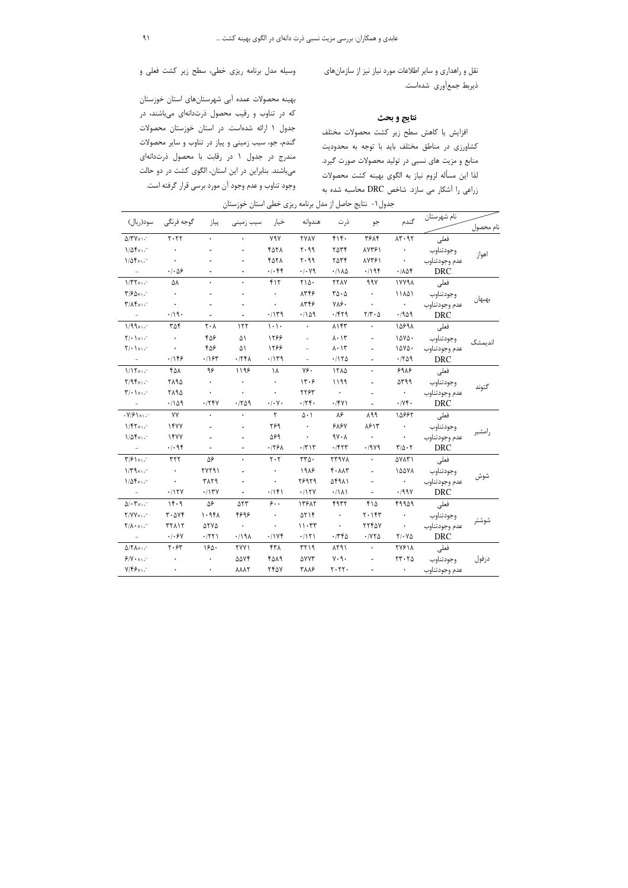نقل و راهداری و سایر اطلاعات مورد نیاز نیز از سازمانهای ذيربط جمعأوري شدهاست.

#### نتايج و بحث

افزایش یا کاهش سطح زیر کشت محصولات مختلف کشاورزی در مناطق مختلف باید با توجه به محدودیت منابع و مزیت های نسبی در تولید محصولات صورت گیرد. لذا این مسأله لزوم نیاز به الگوی بهینه کشت محصولات زراعی را آشکار می سازد. شاخص DRC محاسبه شده به

بهینه محصولات عمده آبی شهرستانهای استان خوزستان که در تناوب و رقیب محصول ذرتدانهای میباشند، در جدول ۱ ارائه شدهاست. در استان خوزستان محصولات گندم، جو، سیب زمینی و پیاز در تناوب و سایر محصولات مندرج در جدول ١ در رقابت با محصول ذرتدانهاى میباشند. بنابراین در این استان، الگوی کشت در دو حالت وجود تناوب و عدم وجود آن مورد برسی قرار گرفته است.

جدول ۱- نتایج حاصل از مدل برنامه ریزی خطی استان خوزستان

|                                                      |                                          |                               |                                 |                               |                     |                                    |                                      |                                                  | نام شهرستان   |           |
|------------------------------------------------------|------------------------------------------|-------------------------------|---------------------------------|-------------------------------|---------------------|------------------------------------|--------------------------------------|--------------------------------------------------|---------------|-----------|
| سود(ريال)                                            | گوجه فرنگی                               | پياز                          | سیب زمینی                       | خيار                          | هندوانه             | ذرت                                | جو                                   | گندم                                             |               | نام محصول |
| $\Delta$ /٣٧ $\times$ $\cdot$ $\cdot$                | $Y \cdot YY$                             |                               | $\bullet$                       | <b>Y9Y</b>                    | <b>YYAY</b>         | $f \upharpoonright f$ .            | <b>٣۶٨۴</b>                          | $\Lambda \mathbf{r} \cdot \mathbf{q} \mathbf{r}$ | فعلى          | اهواز     |
| $1/\Delta f x_1$ .                                   | $\bullet$                                |                               |                                 | ۴۵۲۸                          | $P P \cdot Y$       | ٢۵٣۴                               | 18748                                | $\bullet$                                        | وجودتناوب     |           |
| $1/\Delta f x_1$ .                                   | $\bullet$                                |                               |                                 | YAYA                          | $P P \cdot Y$       | ٢۵٣۴                               | <b>AYTS1</b>                         | $\rightarrow$                                    | عدم وجودتناوب |           |
| $\equiv$                                             | $\cdot$ / $\cdot$ $\Delta$ ۶             |                               |                                 | $\cdot/\cdot$ ۴۴              | $\cdot/\cdot$ Y9    | .71A <sub>0</sub>                  | .799                                 | $\cdot/\lambda\Delta f$                          | <b>DRC</b>    |           |
| $1/\mathbf{r} \mathbf{r}_{\times 1}$ .               | ۵۸                                       |                               |                                 | $f\$                          | $Y \wedge \Delta$ . | <b>TTAY</b>                        | 997                                  | 17791                                            | فعلى          | بهبهان    |
| $\mathbf{Y}/\mathbf{2}\mathbf{X}$                    | $\bullet$                                |                               |                                 | $\bullet$                     | 8478                | $r\Delta \cdot \Delta$             | $\bullet$                            | 11101                                            | وجودتناوب     |           |
| $\mathbf{Y}/\mathbf{X}\mathbf{F}\times\mathbf{Y}$    | $\bullet$                                |                               |                                 | $\bullet$                     | 8778                | $V \wedge \mathcal{S}$ .           | $\bullet$                            | $\langle \bullet \rangle$ .                      | عدم وجودتناوب |           |
| $\overline{\phantom{a}}$                             | .419.                                    |                               |                                 | .1149                         | .1109               | .791                               | $Y/Y \cdot \Delta$                   | .4909                                            | <b>DRC</b>    |           |
| 1/99x1                                               | ۳۵۴                                      | $\mathbf{Y} \cdot \mathbf{V}$ | 157                             | $\vert \cdot \rangle$ .       | $\bullet$           | $\lambda$ \ $\zeta\zeta$           | $\bullet$                            | 10991                                            | فعلى          | اندیمشک   |
| $\mathbf{Y}/\cdot \mathbf{X}/\cdot$                  | $\star$                                  | 408                           | ۵١                              | 1299                          | $\equiv$            | $\lambda \cdot \lambda \tau$       |                                      | 10YQ.                                            | وجودتناوب     |           |
| $\mathbf{Y}/\bullet\mathbf{Y}/\mathbf{X}/\mathbf{Y}$ | $\bullet$                                | ۴۵۶                           | ۵۱                              | 1288                          | $\overline{a}$      | $\lambda \cdot \lambda \tau$       |                                      | $10Y\Delta$ .                                    | عدم وجودتناوب |           |
|                                                      | .1159                                    | .797                          | .774                            | .1149                         |                     | .7170                              |                                      | .709                                             | <b>DRC</b>    |           |
| 1/15x                                                | ۴۵۸                                      | ۹۶                            | 1199                            | ١٨                            | ٧۶۰                 | 1714                               | $\bullet$                            | 998                                              | فعلى          | گتوند     |
| $Y/9$ fx                                             | ٢٨٩٥                                     |                               | $\bullet$                       | $\bullet$                     | 14.6                | 1199                               |                                      | $\Delta$ rqq                                     | وجودتناوب     |           |
| $\mathbf{y} \cdot \mathbf{y}$                        | ۲۸۹۵                                     |                               |                                 | $\ddot{\phantom{0}}$          | ٢٢۶٣                | $\langle \bullet \rangle$          | $\blacksquare$                       | $\bullet$                                        | عدم وجودتناوب |           |
| $\overline{\phantom{a}}$                             | .1109                                    | .754                          | .709                            | $\cdot/\cdot$ Y $\cdot$       | .75                 | .791                               |                                      | $\cdot$ / $\vee$ $\circ$                         | <b>DRC</b>    |           |
| $-Y/\mathcal{F}\rightarrow Y$                        | YY                                       | $\ddot{\phantom{0}}$          | $\ddot{\phantom{0}}$            | $\mathsf{r}$                  | $\Delta \cdot 1$    | ۸۶                                 | $\lambda$ 99                         | 18997                                            | فعلى          |           |
| $1/fYx_1.$                                           | 1477                                     |                               |                                 | ۲۶۹                           | $\bullet$           | 919Y                               | 1815                                 | $\bullet$                                        | وجودتناوب     |           |
| $1/\Delta f x_1$ .                                   | 1477                                     |                               |                                 | ۵۶۹                           | $\bullet$           | $9Y \cdot \Lambda$                 | $\left\langle \bullet \right\rangle$ | $\bullet$                                        | عدم وجودتناوب | إمشير     |
| $\hspace{0.1mm}-\hspace{0.1mm}$                      | .499                                     |                               |                                 | .791                          | $\cdot$ /٣١٣        | .757                               | .7949                                | $\mathbf{Y}/\Delta\boldsymbol{\cdot}\mathbf{Y}$  | <b>DRC</b>    |           |
| $\mathbf{Y}/\mathbf{Y}$                              | $\tau\tau\tau$                           | ۵۶                            | $\ddot{\phantom{0}}$            | $\mathbf{Y} \cdot \mathbf{Y}$ | $rr\Delta$ .        | <b>TT9VA</b>                       | $\bullet$                            | ۵۷۸۳۱                                            | فعلى          |           |
| $1/\Gamma$ 9x1."                                     | $\bullet$                                | YYY91                         |                                 |                               | 1918                | $f \cdot \Lambda \Lambda \Upsilon$ |                                      | 10071                                            | وجودتناوب     | شوش       |
| $1/\Delta f x_1$ .                                   | $\bullet$                                | ۳۸٢٩                          |                                 | $\bullet$                     | 78979               | 11941                              | $\overline{\phantom{a}}$             | $\langle \bullet \rangle$ .                      | عدم وجودتناوب |           |
| $\sim$                                               | .117Y                                    | .717Y                         |                                 | .799                          | .117Y               | .7111                              | $\overline{a}$                       | .199V                                            | <b>DRC</b>    |           |
| $\Delta/\cdot \mathbf{Y} \times \mathbf{Y}$ .        | 14.9                                     | ۵۶                            | ۵۲۳                             | $\mathbf{\hat{z}}$ .          | 13917               | 4937                               | ۴۱۵                                  | ۴۹۹۵۹                                            | فعلى          |           |
| $Y/YY \times Y$                                      | $\mathbf{r} \cdot \mathbf{v} \mathbf{v}$ | $1.9f\Lambda$                 | ۴۶۹۶                            | $\bullet$                     | $\Delta Y$          | $\bullet$                          | $Y \cdot YY$                         | $\bullet$                                        | وجودتناوب     |           |
| $\mathbf{Y}/\mathbf{A}\cdot\mathbf{x}_{1}$ .         | <b>٣٢٨١٢</b>                             | $\Delta YV\Delta$             | $\bullet$                       | $\bullet$                     | 11.77               | $\bullet$                          | YYYAY                                | $\langle \bullet \rangle$                        | عدم وجودتناوب | شوشتر     |
|                                                      | $\cdot$ / $\cdot$ $\theta$ $\vee$        | .771                          | .191                            | .11Yf                         | .7111               | .7780                              | $\cdot$ / $\vee$ $\circ$             | $Y/\cdot Y\Delta$                                | <b>DRC</b>    |           |
| $\Delta$ / $\gamma$ $\Lambda$ $\times$               | $Y \cdot 5Y$                             | 150.                          | <b>٢٧٧١</b>                     | ۴۳۸                           | P177                | 191                                | $\bullet$                            | <b>TYS14</b>                                     | فعلى          |           |
| $P/Y \cdot x_1$ .                                    | $\bullet$                                | $\bullet$                     | <b>AAVF</b>                     | 4019                          | ۵۷۷۳                | $Y \cdot \mathcal{A}$ .            | $\overline{a}$                       | $\tau\tau\cdot\tau\Delta$                        | وجودتناوب     | دزفول     |
| $Y/\mathfrak{F}\mathfrak{S}_{X\setminus V}$          | $\bullet$                                | $\bullet$                     | $\lambda \lambda \lambda \zeta$ | <b>7407</b>                   | ۳۸۸۶                | $Y \cdot YY \cdot$                 | $\overline{a}$                       | $\langle \cdot \rangle$ .                        | عدم وجودتناوب |           |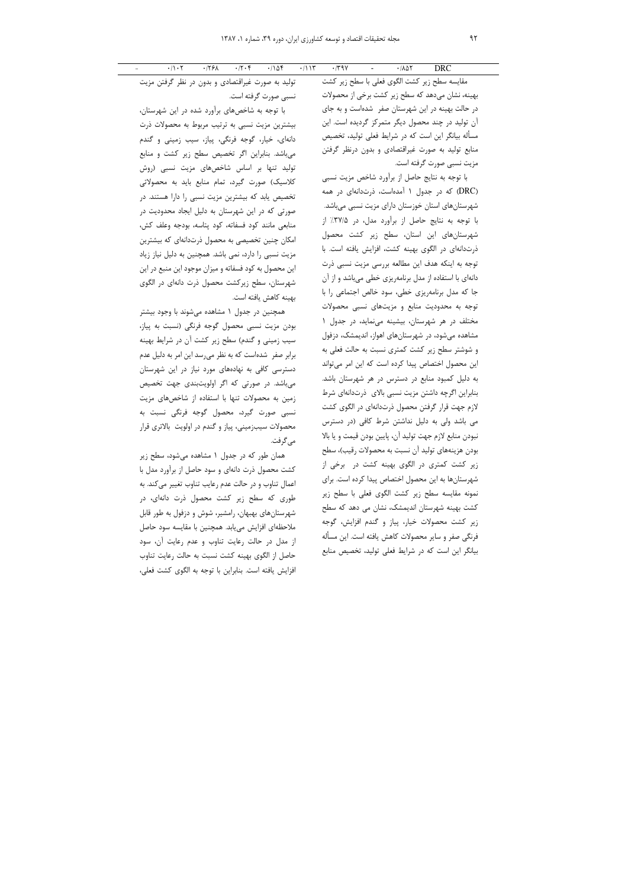مقايسه سطح زير كشت الگوى فعلى با سطح زير كشت بهینه، نشان میدهد که سطح زیر کشت برخی از محصولات در حالت بهینه در این شهرستان صفر شدهاست و به جای آن تولید در چند محصول دیگر متمرکز گردیده است. این مسأله بیانگر این است که در شرایط فعلی تولید، تخصیص منابع تولید به صورت غیراقتصادی و بدون درنظر گرفتن مزيت نسبي صورت گرفته است.

با توجه به نتایج حاصل از برآورد شاخص مزیت نسبی (DRC) که در جدول ۱ آمدهاست، ذرتدانهای در همه شهرستانهای استان خوزستان دارای مزیت نسبی میباشد. با توجه به نتايج حاصل از برآورد مدل، در ٣٧/٥٪ از شهرستانهای این استان، سطح زیر کشت محصول ذرتدانهای در الگوی بهینه کشت، افزایش یافته است. با توجه به اینکه هدف این مطالعه بررسی مزیت نسبی ذرت دانهای با استفاده از مدل برنامهریزی خطی میباشد و از آن جا که مدل برنامهریزی خطی، سود خالص اجتماعی را با توجه به محدودیت منابع و مزیتهای نسبی محصولات مختلف در هر شهرستان، بیشینه می نماید، در جدول ۱ مشاهده میشود، در شهرستانهای اهواز، اندیمشک، دزفول و شوشتر سطح زیر کشت کمتری نسبت به حالت فعلی به این محصول اختصاص پیدا کرده است که این امر میتواند به دلیل کمبود منابع در دسترس در هر شهرستان باشد. بنابراین اگرچه داشتن مزیت نسبی بالای ذرتدانهای شرط لازم جهت قرار گرفتن محصول ذرتدانهای در الگوی کشت می باشد ولی به دلیل نداشتن شرط کافی (در دسترس نبودن منابع لازم جهت توليد آن، پايين بودن قيمت و يا بالا بودن هزینههای تولید آن نسبت به محصولات رقیب)، سطح زیر کشت کمتری در الگوی بهینه کشت در برخی از شهرستانها به این محصول اختصاص پیدا کرده است. برای نمونه مقايسه سطح زير كشت الكوى فعلى با سطح زير کشت بهینه شهرستان اندیمشک، نشان می دهد که سطح زیر کشت محصولات خیار، پیاز و گندم افزایش، گوجه فرنگی صفر و سایر محصولات کاهش یافته است. این مسأله بیانگر این است که در شرایط فعلی تولید، تخصیص منابع

تولید به صورت غیراقتصادی و بدون در نظر گرفتن مزیت نسبی صورت گرفته است.

با توجه به شاخصهای برآورد شده در این شهرستان، بیشترین مزیت نسبی به ترتیب مربوط به محصولات ذرت دانهای، خیار، گوجه فرنگی، پیاز، سیب زمینی و گندم می باشد. بنابراین اگر تخصیص سطح زیر کشت و منابع تولید تنها بر اساس شاخصهای مزیت نسبی (روش كلاسيك) صورت گيرد، تمام منابع بايد به محصولاتي تخصیص یابد که بیشترین مزیت نسبی را دارا هستند. در صورتی که در این شهرستان به دلیل ایجاد محدودیت در منابعي مانند كود فسفاته، كود پتاسه، بودجه وعلف كش، امکان چنین تخصیصی به محصول ذرتدانهای که بیشترین مزیت نسبی را دارد، نمی باشد. همچنین به دلیل نیاز زیاد این محصول به کود فسفاته و میزان موجود این منبع در این شهرستان، سطح زیرکشت محصول ذرت دانهای در الگوی بهينه كاهش يافته است.

همچنین در جدول ۱ مشاهده میشوند با وجود بیشتر بودن مزيت نسبي محصول گوجه فرنگي (نسبت به پياز، سیب زمینی و گندم) سطح زیر کشت آن در شرایط بهینه برابر صفر شدهاست که به نظر میرسد این امر به دلیل عدم دسترسی کافی به نهادههای مورد نیاز در این شهرستان می باشد. در صورتی که اگر اولویتبندی جهت تخصیص زمین به محصولات تنها با استفاده از شاخصهای مزیت نسبی صورت گیرد، محصول گوجه فرنگی نسبت به محصولات سیبزمینی، پیاز و گندم در اولویت بالاتری قرار مى5گرفت.

همان طور که در جدول ۱ مشاهده میشود، سطح زیر کشت محصول ذرت دانهای و سود حاصل از برآورد مدل با اعمال تناوب و در حالت عدم رعايب تناوب تغيير مي كند. به طوری که سطح زیر کشت محصول ذرت دانهای، در شهرستانهای بهبهان، رامشیر، شوش و دزفول به طور قابل ملاحظهای افزایش می یابد. همچنین با مقایسه سود حاصل از مدل در حالت رعایت تناوب و عدم رعایت آن، سود حاصل از الگوی بهینه کشت نسبت به حالت رعایت تناوب افزايش يافته است. بنابراين با توجه به الگوى كشت فعلى،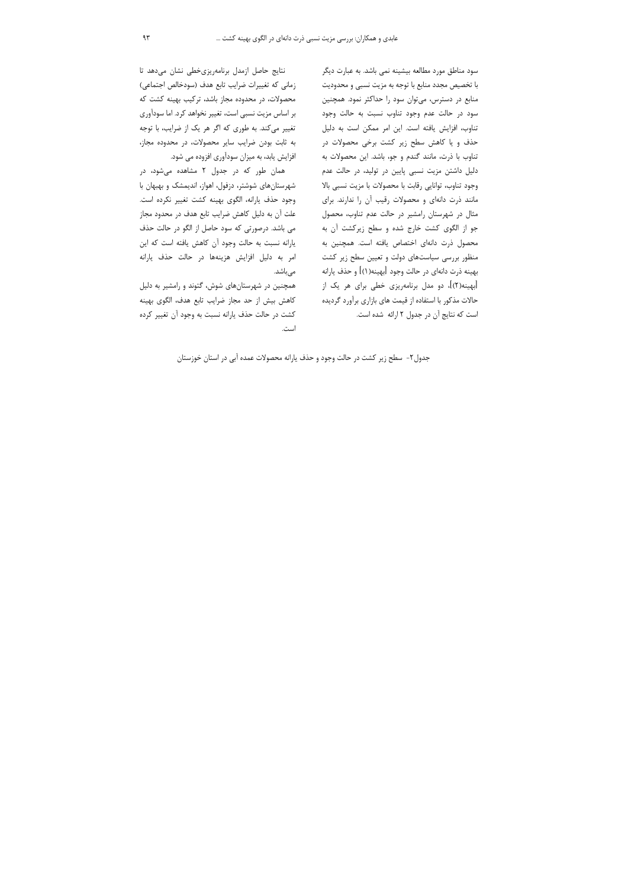سود مناطق مورد مطالعه بیشینه نمی باشد. به عبارت دیگر با تخصیص مجدد منابع با توجه به مزیت نسبی و محدودیت منابع در دسترس، می توان سود را حداکثر نمود. همچنین سود در حالت عدم وجود تناوب نسبت به حالت وجود تناوب، افزایش یافته است. این امر ممکن است به دلیل حذف و یا کاهش سطح زیر کشت برخی محصولات در تناوب با ذرت، مانند گندم و جو، باشد. این محصولات به دلیل داشتن مزیت نسبی پایین در تولید، در حالت عدم وجود تناوب، توانايي رقابت با محصولات با مزيت نسبي بالا مانند ذرت دانهای و محصولات رقیب آن را ندارند. برای مثال در شهرستان رامشیر در حالت عدم تناوب، محصول جو از الگوی کشت خارج شده و سطح زیرکشت آن به محصول ذرت دانهای اختصاص یافته است. همچنین به منظور بررسی سیاستهای دولت و تعیین سطح زیر کشت بهينه ذرت دانهاي در حالت وجود [بهينه(١)] و حذف يارانه [بهینه(۲)]، دو مدل برنامهریزی خطی برای هر یک از حالات مذکور با استفاده از قیمت های بازاری برآورد گردیده است كه نتايج آن در جدول ٢ ارائه شده است.

نتايج حاصل ازمدل برنامهريزى خطى نشان مى دهد تا زمانی که تغییرات ضرایب تابع هدف (سودخالص اجتماعی) محصولات، در محدوده مجاز باشد، ترکیب بهینه کشت که بر اساس مزیت نسبی است، تغییر نخواهد کرد. اما سودآوری تغییر میکند. به طوری که اگر هر یک از ضرایب، با توجه به ثابت بودن ضرایب سایر محصولات، در محدوده مجاز، افزایش یابد، به میزان سودآوری افزوده می شود.

همان طور که در جدول ۲ مشاهده می شود، در شهرستان های شوشتر، دزفول، اهواز، اندیمشک و بهبهان با وجود حذف يارانه، الكوى بهينه كشت تغيير نكرده است. علت آن به دلیل کاهش ضرایب تابع هدف در محدود مجاز می باشد. درصورتی که سود حاصل از الگو در حالت حذف يارانه نسبت به حالت وجود آن كاهش يافته است كه اين امر به دلیل افزایش هزینهها در حالت حذف یارانه میباشد.

همچنین در شهرستانهای شوش، گتوند و رامشیر به دلیل كاهش بيش از حد مجاز ضرايب تابع هدف، الگوى بهينه کشت در حالت حذف پارانه نسبت به وجود آن تغییر کرده است.

جدول۲- سطح زیر کشت در حالت وجود و حذف یارانه محصولات عمده آبی در استان خوزستان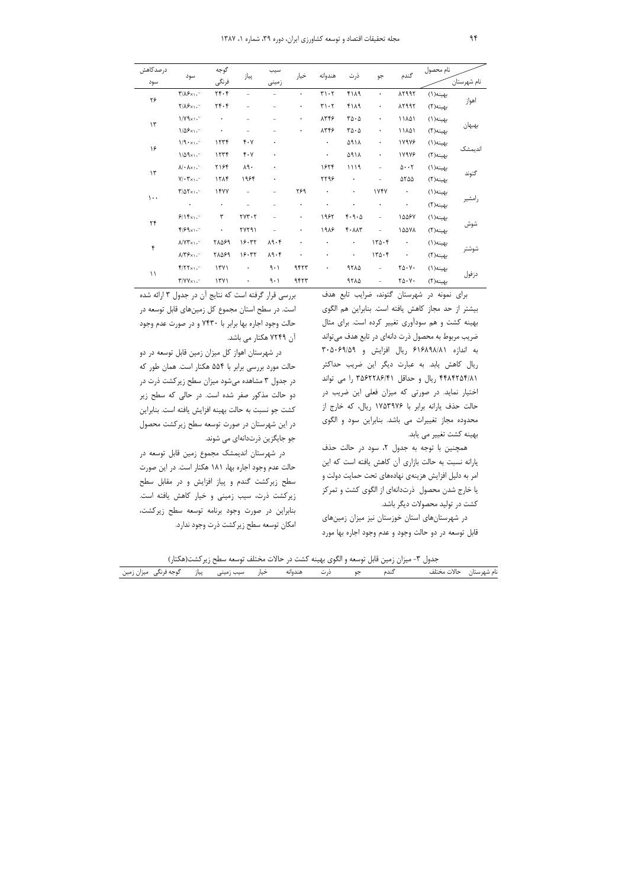| درصدكاهش                  |                                                    | گوجه                                     |                                     | سيب                      |           |                               |                                         |                   | گندم                                       | نام محصول |             |
|---------------------------|----------------------------------------------------|------------------------------------------|-------------------------------------|--------------------------|-----------|-------------------------------|-----------------------------------------|-------------------|--------------------------------------------|-----------|-------------|
| سود                       | سود                                                | فرنگى                                    | پياز                                | زمينى                    | خيار      | هندوانه                       | ذرت                                     | جو                |                                            |           | نام شهرستان |
| ۲۶                        | $\mathbf{Y}/\mathbf{X}\mathbf{S}\times\mathbf{X}$  | $\mathbf{Y} \mathbf{F} \cdot \mathbf{Y}$ |                                     |                          | $\bullet$ | $\mathbf{r} \cdot \mathbf{r}$ | 4119                                    | $\bullet$         | 12997                                      | بهينه(١)  | اهواز       |
|                           | $Y/\lambda S$                                      | $\gamma$ . $\zeta$                       |                                     |                          | ۰         | $\mathbf{r}\cdot\mathbf{r}$   | 4119                                    | $\bullet$         | 12997                                      | بهينه(٢)  |             |
| $\backslash \mathfrak{r}$ | 1/Y9x1.                                            | $\bullet$                                |                                     |                          | ۰         | 8778                          | $r\Delta\cdot\Delta$                    | ۰                 | ١١٨۵١                                      | بهينه(١)  | بهبهان      |
|                           | $1/\Delta$ ۶ $\times$ ۱."                          | $\bullet$                                |                                     | ÷                        | ۰         | 8778                          | $r\Delta\cdot\Delta$                    | ۰                 | ١١٨٥١                                      | بهينه(٢)  |             |
| ۱۶                        | $1/9 \cdot x_1 \cdot$                              | 1577                                     | $\mathfrak{r}\cdot\mathfrak{v}$     | $\bullet$                |           | $\bullet$                     | ۵۹۱۸                                    | $\bullet$         | 17978                                      | بهينه(١)  | اندیمشک     |
|                           | $1/\Delta \mathcal{A} \times 1$ .                  | 1577                                     | ۴۰۷                                 | ۰                        |           | $\bullet$                     | ۵۹۱۸                                    | $\bullet$         | 17978                                      | بهينه(٢)  |             |
| $\backslash \mathfrak{r}$ | $\lambda/\cdot \lambda \times \lambda$ .           | ٢١۶۴                                     | $\lambda\mathfrak{q}\cdot$          | ۰                        |           | 1824                          | 1119                                    | ÷                 | $0 \cdot \cdot 7$                          | بهينه(١)  | گتوند       |
|                           | $Y/\cdot Y \times \cdot \cdot$                     | 1715                                     | ۱۹۶۴                                | ۰                        |           | ۲۲۹۶                          | $\bullet$                               | $\qquad \qquad -$ | ۵۲۵۵                                       | بهينه(٢)  |             |
| $\cdots$                  | $\Gamma/\Delta \Upsilon \times 1.$                 | 1477                                     | Ξ.                                  |                          | ٢۶٩       | $\bullet$                     | ۰                                       | 1747              | $\bullet$                                  | بهينه(١)  |             |
|                           | $\bullet$                                          | $\bullet$                                |                                     | ÷                        | ۰         | ۰                             | ۰                                       | $\bullet$         | ۰                                          | بهينه(٢)  | رامشير      |
| $\mathbf{Y} \mathbf{Y}$   | 9/15x1.                                            | ٣                                        | $\gamma \gamma \gamma \cdot \gamma$ | $\overline{\phantom{0}}$ | ۰         | 1982                          | $f \cdot \mathcal{A} \cdot \mathcal{A}$ | ÷,                | 10087                                      | بهينه(١)  |             |
|                           | $f/\mathcal{F} \mathcal{A} \times \mathcal{N}$     | $\bullet$                                | YYY91                               |                          | ۰         | 1918                          | $f \cdot \lambda \lambda$ ۳             | ÷,                | 10071                                      | بهينه(٢)  | شوش         |
| ۴                         | $\Lambda/\Upsilon\Upsilon\times_{\Lambda}$ .       | 71089                                    | ۱۶۰۳۲                               | $\lambda$ 9.6            | $\bullet$ | $\bullet$                     | $\bullet$                               | 170.6             | $\bullet$                                  | بهينه(١)  | شوشتر       |
|                           | $\lambda/\Upsilon$ $\zeta$ $\times$ $\setminus$ ." | ٢٨۵۶٩                                    | 19.77                               | $\lambda$ 9.4            |           | $\bullet$                     | $\bullet$                               | 170.6             | $\bullet$                                  | بهينه(٢)  |             |
|                           | $f/\gamma \gamma_{x1}.$                            | 1711                                     | $\bullet$                           | 9.1                      | 9473      | $\bullet$                     | 9710                                    | $\equiv$          | $\Upsilon \Delta \cdot V \cdot$            | بهينه(١)  |             |
| $\setminus$               | $\Upsilon/\Upsilon \Upsilon \times \Upsilon$ .     | YY                                       | ٠                                   | ۹۰۱                      | 9474      |                               | 9710                                    | $\qquad \qquad -$ | $\mathbf{Y}\mathbf{0}\cdot\mathbf{V}\cdot$ | بهينه(٢)  | دزفول       |

برای نمونه در شهرستان گتوند، ضرایب تابع هدف بیشتر از حد مجاز کاهش یافته است. بنابراین هم الگوی بهینه کشت و هم سودآوری تغییر کرده است. برای مثال ضریب مربوط به محصول ذرت دانهای در تابع هدف میتواند به اندازه ۶۱۶۸۹۸/۸۱ ریال افزایش و ۳۰۵۰۶۹/۵۹ ریال کاهش یابد. به عبارت دیگر این ضریب حداکثر ۴۴۸۴۲۵۴/۸۱ ریال و حداقل ۳۵۶۲۲۸۶/۴۱ را می تواند اختیار نماید. در صورتی که میزان فعلی این ضریب در حالت حذف یارانه برابر با ۱۷۵۳۹۷۶ ریال، که خارج از محدوده مجاز تغییرات می باشد. بنابراین سود و الگوی بهينه كشت تغيير مي يابد.

همچنین با توجه به جدول ۲، سود در حالت حذف یارانه نسبت به حالت بازاری آن کاهش یافته است که این امر به دلیل افزایش هزینهی نهادههای تحت حمایت دولت و یا خارج شدن محصول ذرتدانهای از الگوی کشت و تمرکز کشت در تولید محصولات دیگر باشد.

در شهرستانهای استان خوزستان نیز میزان زمینهای قابل توسعه در دو حالت وجود و عدم وجود اجاره بها مورد

بررسی قرار گرفته است که نتایج آن در جدول ۳ ارائه شده است. در سطح استان مجموع کل زمینهای قابل توسعه در حالت وجود اجاره بها برابر با ۷۴۳۰ و در صورت عدم وجود آن ۷۲۴۹ هکتار می باشد.

در شهرستان اهواز کل میزان زمین قابل توسعه در دو حالت مورد بررسی برابر با ۵۵۴ هکتار است. همان طور که در جدول ۳ مشاهده میشود میزان سطح زیرکشت ذرت در دو حالت مذکور صفر شده است. در حالی که سطح زیر كشت جو نسبت به حالت بهينه افزايش يافته است. بنابراين در این شهرستان در صورت توسعه سطح زیرکشت محصول جو جایگزین ذرتدانهای می شوند.

در شهرستان اندیمشک مجموع زمین قابل توسعه در حالت عدم وجود اجاره بها، ۱۸۱ هکتار است. در این صورت سطح زیرکشت گندم و پیاز افزایش و در مقابل سطح زیرکشت ذرت، سیب زمینی و خیار کاهش یافته است. بنابراین در صورت وجود برنامه توسعه سطح زیرکشت، امكان توسعه سطح زيركشت ذرت وجود ندارد.

جدول ۳- میزان زمین قابل توسعه و الگوی بهینه کشت در حالات مختلف توسعه سطح زیرکشت(هکتار)

|                                 | - - -   |            |                             |         | __ | __<br>- - - | --   |  |
|---------------------------------|---------|------------|-----------------------------|---------|----|-------------|------|--|
| مير<br>$\overline{\phantom{a}}$ | يىن<br> | سىب<br>~~~ | $\ddot{\phantom{1}}$<br>ىسە | غندوانه |    | ـىدە        | ____ |  |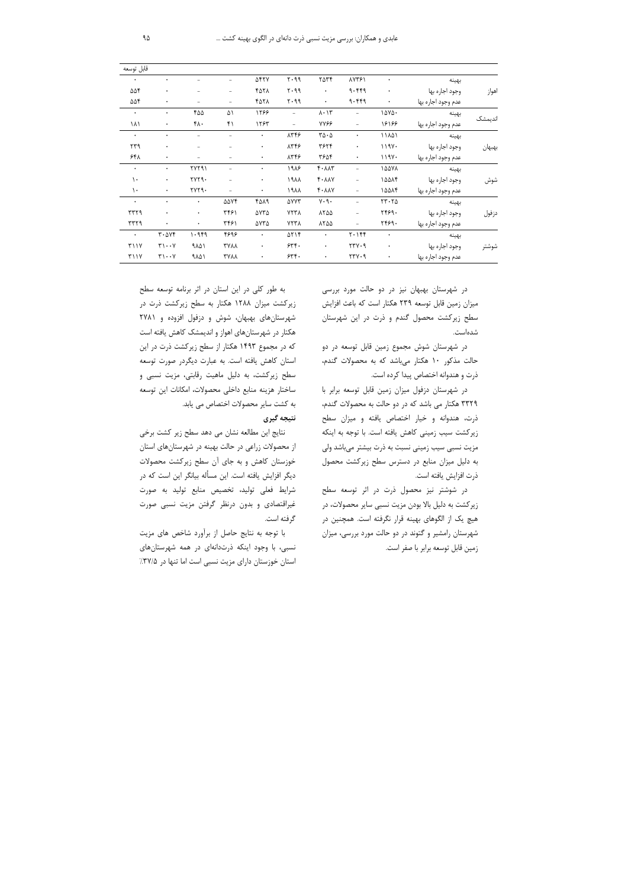|         |                    |                     |                          |                                       |                          |             |             |              |                                                          | قابل توسعه    |
|---------|--------------------|---------------------|--------------------------|---------------------------------------|--------------------------|-------------|-------------|--------------|----------------------------------------------------------|---------------|
|         | بهينه              | $\bullet$           | <b>AV۳۶1</b>             | ٢۵٣۴                                  | $Y \cdot 99$             | <b>AFTY</b> |             |              | $\bullet$                                                | $\bullet$     |
| اهواز   | وجود اجاره بها     | $\bullet$           | 9.999                    | $\bullet$                             | 5.99                     | 4071        |             |              | $\bullet$                                                | ۵۵۴           |
|         | عدم وجود اجاره بها | $\bullet$           | 9.999                    | $\bullet$                             | $Y \cdot 99$             | 4071        |             |              | $\bullet$                                                | ۵۵۴           |
| انديمشک | بهينه              | ۱۵۷۵۰               |                          | $\lambda \cdot \Delta \tau$           | $\overline{\phantom{0}}$ | 1299        | ۵۱          | ۴۵۵          | $\bullet$                                                | $\bullet$     |
|         | عدم وجود اجاره بها | 18188               | $\overline{\phantom{m}}$ | <b>YY&amp;</b>                        | $\overline{\phantom{0}}$ | 1285        | ۴۱          | ۴۸۰          | $\bullet$                                                | ۱۸۱           |
|         | بهينه              | ١١٨۵١               | $\bullet$                | $\mathbf{r}\mathbf{w}\cdot\mathbf{w}$ | 8778                     | $\bullet$   |             |              | $\bullet$                                                | $\bullet$     |
| بهبهان  | وجود اجاره بها     | ۱۱۹۷۰               | $\bullet$                | ٣۶٢۴                                  | 8778                     | $\bullet$   |             |              | ۰                                                        | ۲۳۹           |
|         | عدم وجود اجاره بها | 119Y.               | ٠                        | ۳۶۵۴                                  | 8778                     | ٠           |             |              | $\bullet$                                                | ۶۴۸           |
|         | بهينه              | 10071               |                          | $f \cdot \lambda \lambda$ ۳           | 1918                     | ٠           |             | <b>٢٧٢٩١</b> | $\bullet$                                                | $\bullet$     |
| شوش     | وجود اجاره بها     | 10014               | $\overline{\phantom{m}}$ | $f \cdot \lambda \lambda V$           | 1911                     | $\bullet$   |             | <b>٢٧٢٩.</b> | $\bullet$                                                | $\mathcal{L}$ |
|         | عدم وجود اجاره بها | 1۵۵۸۴               | $\overline{\phantom{m}}$ | $k \cdot Y$                           | ۱۹۸۸                     | $\bullet$   |             | <b>٢٧٢٩.</b> | $\bullet$                                                | $\mathcal{L}$ |
|         | بهينه              | $YY \cdot Y \Delta$ | $\overline{\phantom{0}}$ | $V \cdot \mathcal{A}$ .               | <b>AYYT</b>              | 4019        | ۵۵۷۴        | ۰            | $\bullet$                                                | $\bullet$     |
| دزفول   | وجود اجاره بها     | ۲۴۶۹.               |                          | 1700                                  | YYY                      | ۵۷۳۵        | ۳۴۶۱        | ۰            | $\bullet$                                                | rrr9          |
|         | عدم وجود اجاره بها | 7469.               |                          | 1700                                  | YYY                      | ۵۷۳۵        | ۳۴۶۱        | $\bullet$    | $\bullet$                                                | ۳۳۲۹          |
| شوشتر   | بهينه              | $\bullet$           | $Y \cdot Y$              | $\bullet$                             | $\Delta Y$               | $\bullet$   | ۴۶۹۶        | ۱۰۹۴۹        | $\mathbf{r} \cdot \mathbf{\Delta} \mathbf{v} \mathbf{f}$ | $\bullet$     |
|         | وجود اجاره بها     | $\bullet$           | YYY.9                    | $\bullet$                             | 55.                      | ٠           | <b>TYAA</b> | ۹۸۵۱         | $\uparrow\uparrow\cdots\uparrow$                         | <b>٣١١٧</b>   |
|         | عدم وجود اجاره بها | ٠                   | YYY.9                    | $\bullet$                             | 55.                      | ۰           | <b>TYAA</b> | ۹۸۵۱         | $\mathbf{y}\cdot\mathbf{y}$                              | <b>٣١١٧</b>   |

در شهرستان بهبهان نیز در دو حالت مورد بررسی میزان زمین قابل توسعه ۲۳۹ هکتار است که باعث افزایش سطح زیرکشت محصول گندم و ذرت در این شهرستان شدەاست.

در شهرستان شوش مجموع زمین قابل توسعه در دو حالت مذکور ۱۰ هکتار میباشد که به محصولات گندم، ذرت و هندوانه اختصاص پیدا کرده است.

در شهرستان دزفول میزان زمین قابل توسعه برابر با ۳۳۲۹ هکتار می باشد که در دو حالت به محصولات گندم، ذرت، هندوانه و خیار اختصاص یافته و میزان سطح زیرکشت سیب زمینی کاهش یافته است. با توجه به اینکه مزیت نسبی سیب زمینی نسبت به ذرت بیشتر میباشد ولی به دلیل میزان منابع در دسترس سطح زیرکشت محصول ذرت افزايش يافته است.

در شوشتر نیز محصول ذرت در اثر توسعه سطح زیرکشت به دلیل بالا بودن مزیت نسبی سایر محصولات، در هیچ یک از الگوهای بهینه قرار نگرفته است. همچنین در شهرستان رامشیر و گتوند در دو حالت مورد بررسی، میزان زمين قابل توسعه برابر با صفر است.

به طور کلی در این استان در اثر برنامه توسعه سطح زیرکشت میزان ۱۲۸۸ هکتار به سطح زیرکشت ذرت در شهرستان های بهبهان، شوش و دزفول افزوده و ۲۷۸۱ هکتار در شهرستانهای اهواز و اندیمشک کاهش یافته است که در مجموع ۱۴۹۳ هکتار از سطح زیرکشت ذرت در این استان کاهش یافته است. به عبارت دیگردر صورت توسعه سطح زیرکشت، به دلیل ماهیت رقابتی، مزیت نسبی و ساختار هزينه منابع داخلي محصولات، امكانات اين توسعه به كشت ساير محصولات اختصاص مي يابد.

# نتيجه گيري

نتايج اين مطالعه نشان مي دهد سطح زير كشت برخي از محصولات زراعی در حالت بهینه در شهرستان های استان خوزستان کاهش و به جای آن سطح زیرکشت محصولات دیگر افزایش یافته است. این مسأله بیانگر این است که در شرایط فعلی تولید، تخصیص منابع تولید به صورت غیراقتصادی و بدون درنظر گرفتن مزیت نسبی صورت گرفته است.

با توجه به نتایج حاصل از برآورد شاخص های مزیت نسبی، با وجود اینکه ذرتدانهای در همه شهرستانهای استان خوزستان دارای مزیت نسبی است اما تنها در ٣٧/٥٪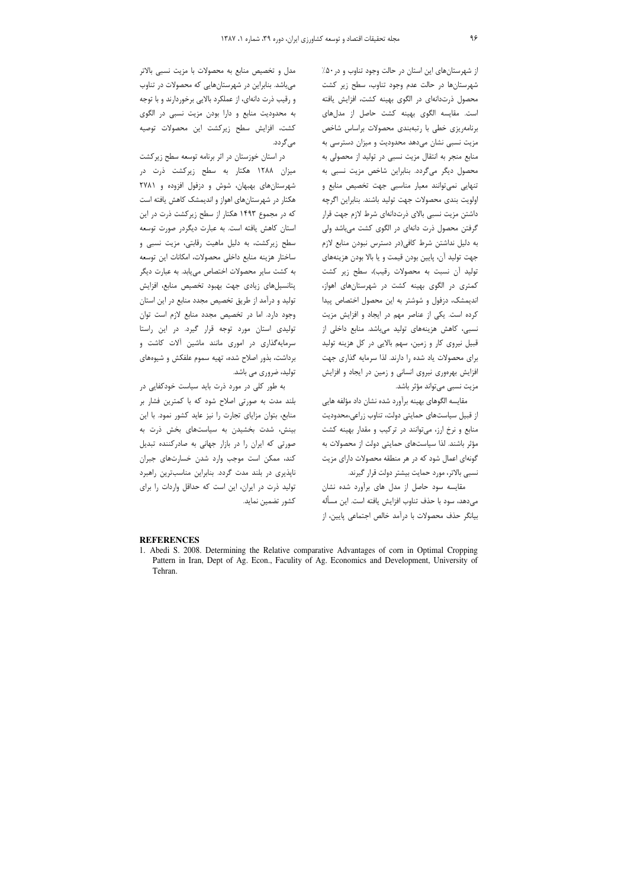از شهرستانهای این استان در حالت وجود تناوب و در ۵۰٪ شهرستانها در حالت عدم وجود تناوب، سطح زیر کشت محصول ذرتدانهای در الگوی بهینه کشت، افزایش یافته است. مقایسه الگوی بهینه کشت حاصل از مدلهای برنامهریزی خطی با رتبهبندی محصولات براساس شاخص مزیت نسبی نشان میدهد محدودیت و میزان دسترسی به منابع منجر به انتقال مزیت نسبی در تولید از محصولی به محصول دیگر میگردد. بنابراین شاخص مزیت نسبی به تنهایی نمی توانند معیار مناسبی جهت تخصیص منابع و اولويت بندى محصولات جهت توليد باشند. بنابراين اگرچه داشتن مزیت نسبی بالای ذرتدانهای شرط لازم جهت قرار گرفتن محصول ذرت دانهای در الگوی کشت میباشد ولی به دلیل نداشتن شرط کافی(در دسترس نبودن منابع لازم جهت تولید آن، پایین بودن قیمت و یا بالا بودن هزینههای توليد آن نسبت به محصولات رقيب)، سطح زير كشت کمتری در الگوی بهینه کشت در شهرستانهای اهواز، اندیمشک، دزفول و شوشتر به این محصول اختصاص پیدا کرده است. یکی از عناصر مهم در ایجاد و افزایش مزیت نسبی، کاهش هزینههای تولید میباشد. منابع داخلی از قبیل نیروی کار و زمین، سهم بالایی در کل هزینه تولید برای محصولات یاد شده را دارند. لذا سرمایه گذاری جهت افزایش بهرهوری نیروی انسانی و زمین در ایجاد و افزایش مزیت نسبے مے تواند مؤثر باشد.

مقایسه الگوهای بهینه برآورد شده نشان داد مؤلفه هایی از قبیل سیاستهای حمایتی دولت، تناوب زراعی،محدودیت منابع و نرخ ارز، می توانند در ترکیب و مقدار بهینه کشت مؤثر باشند. لذا سیاستهای حمایتی دولت از محصولات به گونهای اعمال شود که در هر منطقه محصولات دارای مزیت نسبی بالاتر، مورد حمایت بیشتر دولت قرار گیرند.

مقایسه سود حاصل از مدل های برآورد شده نشان مىدهد، سود با حذف تناوب افزايش يافته است. اين مسأله بيانگر حذف محصولات با درآمد خالص اجتماعي پايين، از

مدل و تخصیص منابع به محصولات با مزیت نسبی بالاتر میباشد. بنابراین در شهرستانهایی که محصولات در تناوب و رقیب ذرت دانهای، از عملکرد بالایی برخوردارند و با توجه به محدودیت منابع و دارا بودن مزیت نسبی در الگوی كشت، افزايش سطح زيركشت اين محصولات توصيه می گردد.

در استان خوزستان در اثر برنامه توسعه سطح زیرکشت میزان ۱۲۸۸ هکتار به سطح زیرکشت ذرت در شهرستانهای بهبهان، شوش و دزفول افزوده و ۲۷۸۱ هکتار در شهرستانهای اهواز و اندیمشک کاهش یافته است که در مجموع ۱۴۹۳ هکتار از سطح زیرکشت ذرت در این استان كاهش يافته است. به عبارت ديگردر صورت توسعه سطح زیرکشت، به دلیل ماهیت رقابتی، مزیت نسبی و ساختار هزينه منابع داخلى محصولات، امكانات اين توسعه به کشت سایر محصولات اختصاص می یابد. به عبارت دیگر پتانسیل های زیادی جهت بهبود تخصیص منابع، افزایش تولید و درآمد از طریق تخصیص مجدد منابع در این استان وجود دارد. اما در تخصیص مجدد منابع لازم است توان تولیدی استان مورد توجه قرار گیرد. در این راستا سرمایهگذاری در اموری مانند ماشین آلات کاشت و برداشت، بذور اصلاح شده، تهيه سموم علفكش و شيوههاى تولید، ضروری می باشد.

به طور کلی در مورد ذرت باید سیاست خودکفایی در بلند مدت به صورتی اصلاح شود که با کمترین فشار بر منابع، بتوان مزایای تجارت را نیز عاید کشور نمود. با این بینش، شدت بخشیدن به سیاستهای بخش ذرت به صورتی که ایران را در بازار جهانی به صادرکننده تبدیل کند، ممکن است موجب وارد شدن خسارتهای جبران ناپذیری در بلند مدت گردد. بنابراین مناسبترین راهبرد تولید ذرت در ایران، این است که حداقل واردات را برای كشور تضمين نمايد.

#### **REFERENCES**

1. Abedi S. 2008. Determining the Relative comparative Advantages of corn in Optimal Cropping Pattern in Iran, Dept of Ag. Econ., Faculity of Ag. Economics and Development, University of Tehran.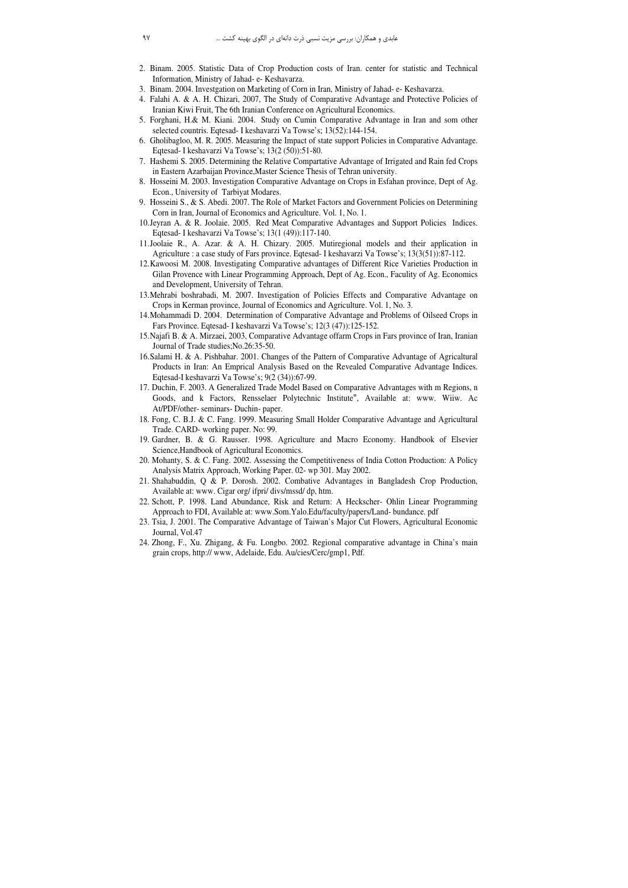- 2. Binam. 2005. Statistic Data of Crop Production costs of Iran. center for statistic and Technical Information, Ministry of Jahad- e- Keshavarza.
- 3. Binam. 2004. Investgation on Marketing of Corn in Iran, Ministry of Jahad- e- Keshavarza.
- 4. Falahi A. & A. H. Chizari, 2007, The Study of Comparative Advantage and Protective Policies of Iranian Kiwi Fruit, The 6th Iranian Conference on Agricultural Economics.
- 5. Forghani, H.& M. Kiani. 2004. Study on Cumin Comparative Advantage in Iran and som other selected countris. Eqtesad- I keshavarzi Va Towse's; 13(52):144-154.
- 6. Gholibagloo, M. R. 2005. Measuring the Impact of state support Policies in Comparative Advantage. Eqtesad- I keshavarzi Va Towse's; 13(2 (50)):51-80.
- 7. Hashemi S. 2005. Determining the Relative Compartative Advantage of Irrigated and Rain fed Crops in Eastern Azarbaijan Province,Master Science Thesis of Tehran university.
- 8. Hosseini M. 2003. Investigation Comparative Advantage on Crops in Esfahan province, Dept of Ag. Econ., University of Tarbiyat Modares.
- 9. Hosseini S., & S. Abedi. 2007. The Role of Market Factors and Government Policies on Determining Corn in Iran, Journal of Economics and Agriculture. Vol. 1, No. 1.
- 10.Jeyran A. & R. Joolaie. 2005. Red Meat Comparative Advantages and Support Policies Indices. Eqtesad- I keshavarzi Va Towse's; 13(1 (49)):117-140.
- 11.Joolaie R., A. Azar. & A. H. Chizary. 2005. Mutiregional models and their application in Agriculture : a case study of Fars province. Eqtesad- I keshavarzi Va Towse's; 13(3(51)):87-112.
- 12.Kawoosi M. 2008. Investigating Comparative advantages of Different Rice Varieties Production in Gilan Provence with Linear Programming Approach, Dept of Ag. Econ., Faculity of Ag. Economics and Development, University of Tehran.
- 13.Mehrabi boshrabadi, M. 2007. Investigation of Policies Effects and Comparative Advantage on Crops in Kerman province, Journal of Economics and Agriculture. Vol. 1, No. 3.
- 14.Mohammadi D. 2004. Determination of Comparative Advantage and Problems of Oilseed Crops in Fars Province. Eqtesad- I keshavarzi Va Towse's; 12(3 (47)):125-152.
- 15.Najafi B. & A. Mirzaei, 2003, Comparative Advantage offarm Crops in Fars province of Iran, Iranian Journal of Trade studies;No.26:35-50.
- 16.Salami H. & A. Pishbahar. 2001. Changes of the Pattern of Comparative Advantage of Agricaltural Products in Iran: An Emprical Analysis Based on the Revealed Comparative Advantage Indices. Eqtesad-I keshavarzi Va Towse's; 9(2 (34)):67-99.
- 17. Duchin, F. 2003. A Generalized Trade Model Based on Comparative Advantages with m Regions, n Goods, and k Factors, Rensselaer Polytechnic Institute", Available at: www. Wiiw. Ac At/PDF/other- seminars- Duchin- paper.
- 18. Fong, C. B.J. & C. Fang. 1999. Measuring Small Holder Comparative Advantage and Agricultural Trade. CARD- working paper. No: 99.
- 19. Gardner, B. & G. Rausser. 1998. Agriculture and Macro Economy. Handbook of Elsevier Science,Handbook of Agricultural Economics.
- 20. Mohanty, S. & C. Fang. 2002. Assessing the Competitiveness of India Cotton Production: A Policy Analysis Matrix Approach, Working Paper. 02- wp 301. May 2002.
- 21. Shahabuddin, Q & P. Dorosh. 2002. Combative Advantages in Bangladesh Crop Production, Available at: www. Cigar org/ ifpri/ divs/mssd/ dp, htm.
- 22. Schott, P. 1998. Land Abundance, Risk and Return: A Heckscher- Ohlin Linear Programming Approach to FDI, Available at: www.Som.Yalo.Edu/faculty/papers/Land- bundance. pdf
- 23. Tsia, J. 2001. The Comparative Advantage of Taiwan's Major Cut Flowers, Agricultural Economic Journal, Vol.47
- 24. Zhong, F., Xu. Zhigang, & Fu. Longbo. 2002. Regional comparative advantage in China's main grain crops, http:// www, Adelaide, Edu. Au/cies/Cerc/gmp1, Pdf.